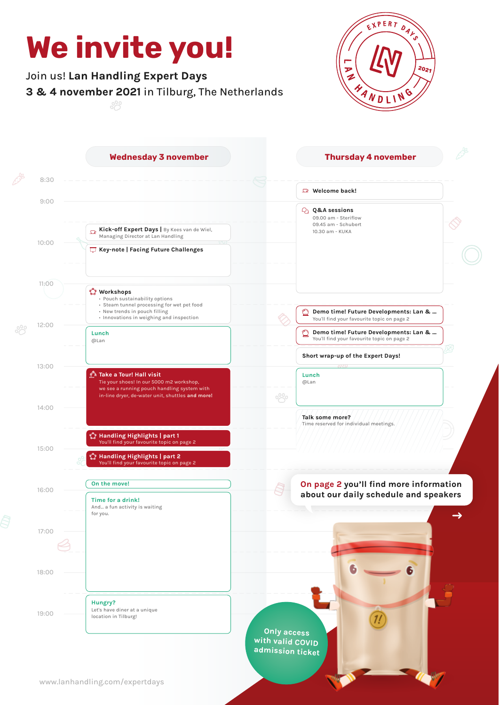